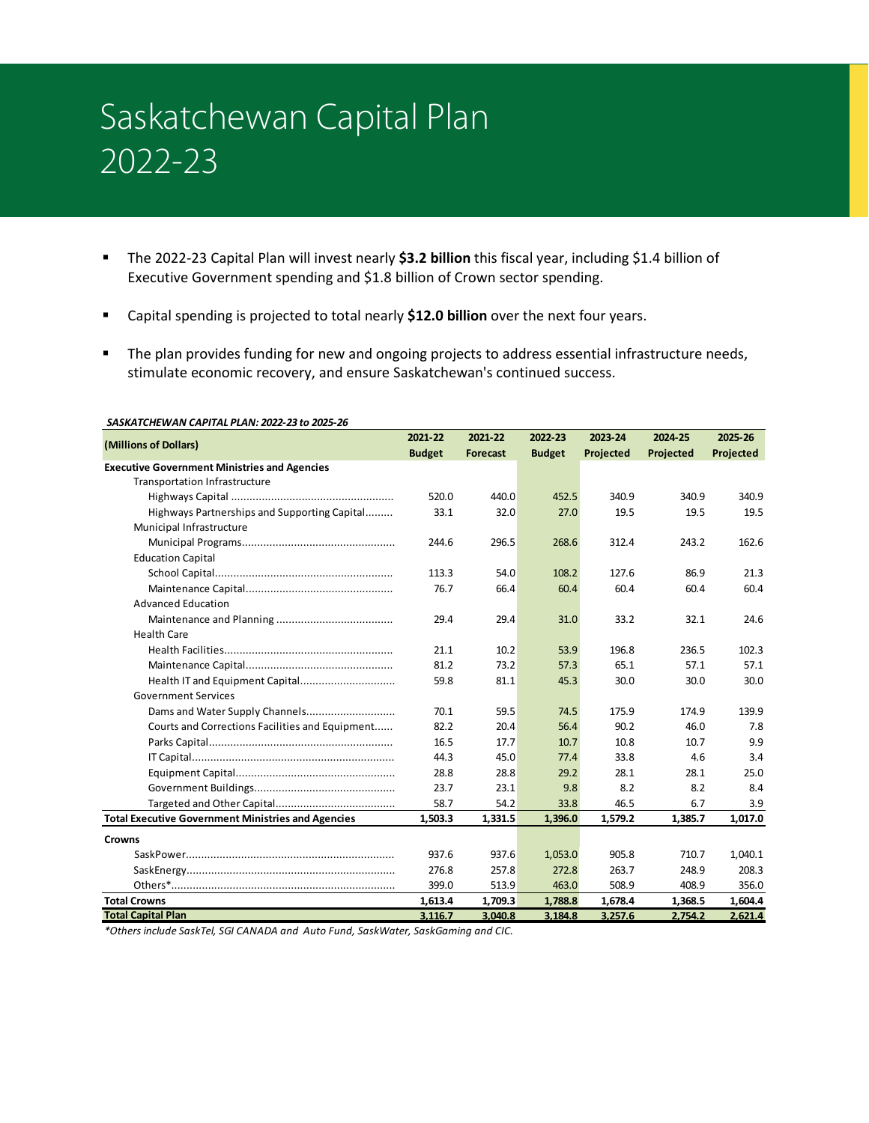# Saskatchewan Capital Plan 2022-23

- The 2022-23 Capital Plan will invest nearly **\$3.2 billion** this fiscal year, including \$1.4 billion of Executive Government spending and \$1.8 billion of Crown sector spending.
- Capital spending is projected to total nearly **\$12.0 billion** over the next four years.
- The plan provides funding for new and ongoing projects to address essential infrastructure needs, stimulate economic recovery, and ensure Saskatchewan's continued success.

| (Millions of Dollars)                                     | 2021-22       | 2021-22         | 2022-23       | 2023-24   | 2024-25   | 2025-26   |
|-----------------------------------------------------------|---------------|-----------------|---------------|-----------|-----------|-----------|
|                                                           | <b>Budget</b> | <b>Forecast</b> | <b>Budget</b> | Projected | Projected | Projected |
| <b>Executive Government Ministries and Agencies</b>       |               |                 |               |           |           |           |
| Transportation Infrastructure                             |               |                 |               |           |           |           |
|                                                           | 520.0         | 440.0           | 452.5         | 340.9     | 340.9     | 340.9     |
| Highways Partnerships and Supporting Capital              | 33.1          | 32.0            | 27.0          | 19.5      | 19.5      | 19.5      |
| Municipal Infrastructure                                  |               |                 |               |           |           |           |
|                                                           | 244.6         | 296.5           | 268.6         | 312.4     | 243.2     | 162.6     |
| <b>Education Capital</b>                                  |               |                 |               |           |           |           |
|                                                           | 113.3         | 54.0            | 108.2         | 127.6     | 86.9      | 21.3      |
|                                                           | 76.7          | 66.4            | 60.4          | 60.4      | 60.4      | 60.4      |
| <b>Advanced Education</b>                                 |               |                 |               |           |           |           |
|                                                           | 29.4          | 29.4            | 31.0          | 33.2      | 32.1      | 24.6      |
| <b>Health Care</b>                                        |               |                 |               |           |           |           |
|                                                           | 21.1          | 10.2            | 53.9          | 196.8     | 236.5     | 102.3     |
|                                                           | 81.2          | 73.2            | 57.3          | 65.1      | 57.1      | 57.1      |
| Health IT and Equipment Capital                           | 59.8          | 81.1            | 45.3          | 30.0      | 30.0      | 30.0      |
| <b>Government Services</b>                                |               |                 |               |           |           |           |
|                                                           | 70.1          | 59.5            | 74.5          | 175.9     | 174.9     | 139.9     |
| Courts and Corrections Facilities and Equipment           | 82.2          | 20.4            | 56.4          | 90.2      | 46.0      | 7.8       |
|                                                           | 16.5          | 17.7            | 10.7          | 10.8      | 10.7      | 9.9       |
|                                                           | 44.3          | 45.0            | 77.4          | 33.8      | 4.6       | 3.4       |
|                                                           | 28.8          | 28.8            | 29.2          | 28.1      | 28.1      | 25.0      |
|                                                           | 23.7          | 23.1            | 9.8           | 8.2       | 8.2       | 8.4       |
|                                                           | 58.7          | 54.2            | 33.8          | 46.5      | 6.7       | 3.9       |
| <b>Total Executive Government Ministries and Agencies</b> | 1.503.3       | 1,331.5         | 1,396.0       | 1,579.2   | 1,385.7   | 1,017.0   |
| <b>Crowns</b>                                             |               |                 |               |           |           |           |
|                                                           | 937.6         | 937.6           | 1,053.0       | 905.8     | 710.7     | 1,040.1   |
|                                                           | 276.8         | 257.8           | 272.8         | 263.7     | 248.9     | 208.3     |
|                                                           | 399.0         | 513.9           | 463.0         | 508.9     | 408.9     | 356.0     |
| <b>Total Crowns</b>                                       | 1,613.4       | 1,709.3         | 1,788.8       | 1,678.4   | 1,368.5   | 1,604.4   |
| <b>Total Capital Plan</b>                                 | 3,116.7       | 3,040.8         | 3,184.8       | 3,257.6   | 2,754.2   | 2,621.4   |

#### *SASKATCHEWAN CAPITAL PLAN: 2022-23 to 2025-26*

*\*Others include SaskTel, SGI CANADA and Auto Fund, SaskWater, SaskGaming and CIC.*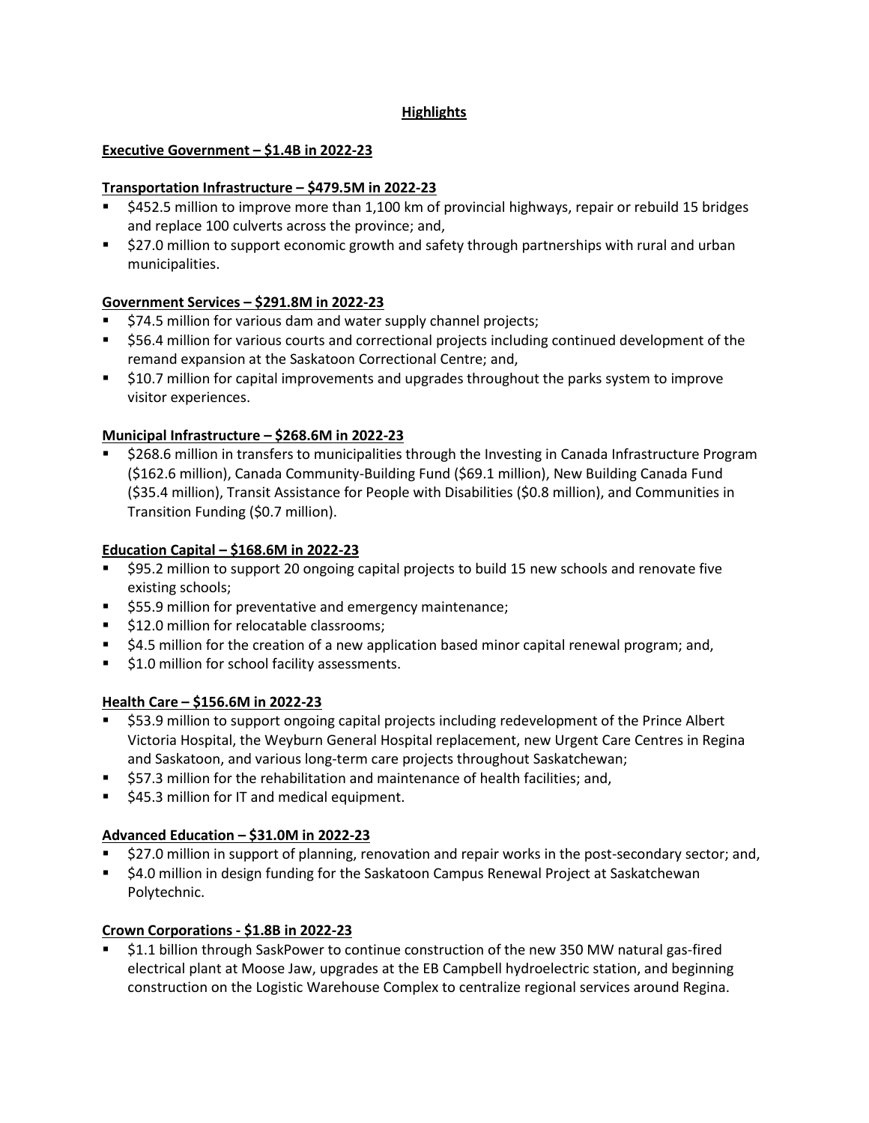# **Highlights**

# **Executive Government – \$1.4B in 2022-23**

## **Transportation Infrastructure – \$479.5M in 2022-23**

- \$452.5 million to improve more than 1,100 km of provincial highways, repair or rebuild 15 bridges and replace 100 culverts across the province; and,
- **527.0 million to support economic growth and safety through partnerships with rural and urban** municipalities.

### **Government Services – \$291.8M in 2022-23**

- \$74.5 million for various dam and water supply channel projects;
- **556.4 million for various courts and correctional projects including continued development of the** remand expansion at the Saskatoon Correctional Centre; and,
- \$10.7 million for capital improvements and upgrades throughout the parks system to improve visitor experiences.

### **Municipal Infrastructure – \$268.6M in 2022-23**

**5268.6 million in transfers to municipalities through the Investing in Canada Infrastructure Program** (\$162.6 million), Canada Community-Building Fund (\$69.1 million), New Building Canada Fund (\$35.4 million), Transit Assistance for People with Disabilities (\$0.8 million), and Communities in Transition Funding (\$0.7 million).

### **Education Capital – \$168.6M in 2022-23**

- \$95.2 million to support 20 ongoing capital projects to build 15 new schools and renovate five existing schools;
- **555.9 million for preventative and emergency maintenance;**
- **512.0 million for relocatable classrooms;**
- **54.5 million for the creation of a new application based minor capital renewal program; and,**
- **51.0 million for school facility assessments.**

# **Health Care – \$156.6M in 2022-23**

- \$53.9 million to support ongoing capital projects including redevelopment of the Prince Albert Victoria Hospital, the Weyburn General Hospital replacement, new Urgent Care Centres in Regina and Saskatoon, and various long-term care projects throughout Saskatchewan;
- \$57.3 million for the rehabilitation and maintenance of health facilities; and,
- **545.3 million for IT and medical equipment.**

# **Advanced Education – \$31.0M in 2022-23**

- \$27.0 million in support of planning, renovation and repair works in the post-secondary sector; and,
- \$4.0 million in design funding for the Saskatoon Campus Renewal Project at Saskatchewan Polytechnic.

#### **Crown Corporations - \$1.8B in 2022-23**

 \$1.1 billion through SaskPower to continue construction of the new 350 MW natural gas-fired electrical plant at Moose Jaw, upgrades at the EB Campbell hydroelectric station, and beginning construction on the Logistic Warehouse Complex to centralize regional services around Regina.